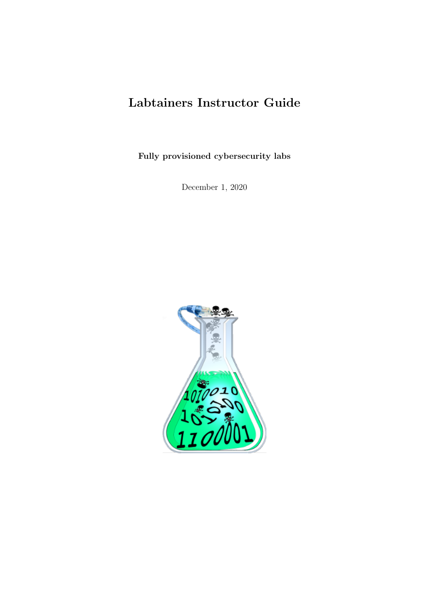# Labtainers Instructor Guide

Fully provisioned cybersecurity labs

December 1, 2020

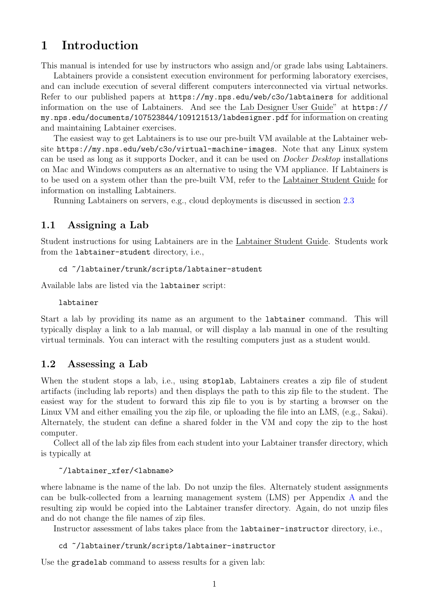## 1 Introduction

This manual is intended for use by instructors who assign and/or grade labs using Labtainers.

Labtainers provide a consistent execution environment for performing laboratory exercises, and can include execution of several different computers interconnected via virtual networks. Refer to our published papers at <https://my.nps.edu/web/c3o/labtainers> for additional information on the use of Labtainers. And see the Lab Designer User Guide" at [https://](https://my.nps.edu/documents/107523844/109121513/labdesigner.pdf) [my.nps.edu/documents/107523844/109121513/labdesigner.pdf](https://my.nps.edu/documents/107523844/109121513/labdesigner.pdf) for information on creating and maintaining Labtainer exercises.

The easiest way to get Labtainers is to use our pre-built VM available at the Labtainer website <https://my.nps.edu/web/c3o/virtual-machine-images>. Note that any Linux system can be used as long as it supports Docker, and it can be used on Docker Desktop installations on Mac and Windows computers as an alternative to using the VM appliance. If Labtainers is to be used on a system other than the pre-built VM, refer to the Labtainer Student Guide for information on installing Labtainers.

Running Labtainers on servers, e.g., cloud deployments is discussed in section [2.3](#page-3-0)

#### 1.1 Assigning a Lab

Student instructions for using Labtainers are in the Labtainer Student Guide. Students work from the labtainer-student directory, i.e.,

#### cd ~/labtainer/trunk/scripts/labtainer-student

Available labs are listed via the labtainer script:

labtainer

Start a lab by providing its name as an argument to the labtainer command. This will typically display a link to a lab manual, or will display a lab manual in one of the resulting virtual terminals. You can interact with the resulting computers just as a student would.

### 1.2 Assessing a Lab

When the student stops a lab, i.e., using stoplab, Labtainers creates a zip file of student artifacts (including lab reports) and then displays the path to this zip file to the student. The easiest way for the student to forward this zip file to you is by starting a browser on the Linux VM and either emailing you the zip file, or uploading the file into an LMS, (e.g., Sakai). Alternately, the student can define a shared folder in the VM and copy the zip to the host computer.

Collect all of the lab zip files from each student into your Labtainer transfer directory, which is typically at

#### ~/labtainer\_xfer/<labname>

where labname is the name of the lab. Do not unzip the files. Alternately student assignments can be bulk-collected from a learning management system (LMS) per Appendix [A](#page-5-0) and the resulting zip would be copied into the Labtainer transfer directory. Again, do not unzip files and do not change the file names of zip files.

Instructor assessment of labs takes place from the labtainer-instructor directory, i.e.,

#### cd ~/labtainer/trunk/scripts/labtainer-instructor

Use the gradelab command to assess results for a given lab: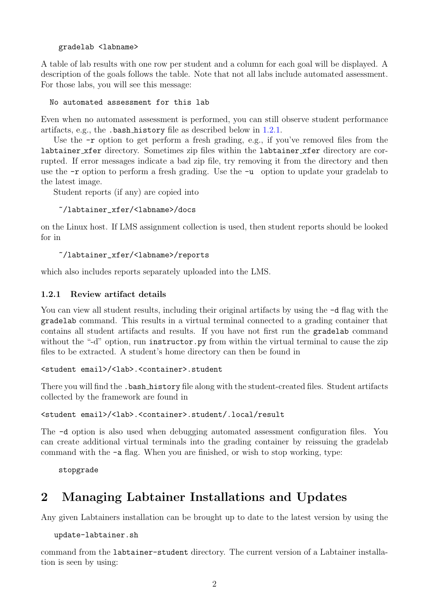```
gradelab <labname>
```
A table of lab results with one row per student and a column for each goal will be displayed. A description of the goals follows the table. Note that not all labs include automated assessment. For those labs, you will see this message:

No automated assessment for this lab

Even when no automated assessment is performed, you can still observe student performance artifacts, e.g., the .bash history file as described below in [1.2.1.](#page-2-0)

Use the  $-r$  option to get perform a fresh grading, e.g., if you've removed files from the labtainer xfer directory. Sometimes zip files within the labtainer xfer directory are corrupted. If error messages indicate a bad zip file, try removing it from the directory and then use the  $-r$  option to perform a fresh grading. Use the  $-u$  option to update your gradelab to the latest image.

Student reports (if any) are copied into

```
~/labtainer_xfer/<labname>/docs
```
on the Linux host. If LMS assignment collection is used, then student reports should be looked for in

```
~/labtainer_xfer/<labname>/reports
```
which also includes reports separately uploaded into the LMS.

### <span id="page-2-0"></span>1.2.1 Review artifact details

You can view all student results, including their original artifacts by using the  $-d$  flag with the gradelab command. This results in a virtual terminal connected to a grading container that contains all student artifacts and results. If you have not first run the gradelab command without the "-d" option, run instructor.py from within the virtual terminal to cause the zip files to be extracted. A student's home directory can then be found in

```
<student email>/<lab>.<container>.student
```
There you will find the .bash history file along with the student-created files. Student artifacts collected by the framework are found in

<student email>/<lab>.<container>.student/.local/result

The -d option is also used when debugging automated assessment configuration files. You can create additional virtual terminals into the grading container by reissuing the gradelab command with the -a flag. When you are finished, or wish to stop working, type:

stopgrade

## 2 Managing Labtainer Installations and Updates

Any given Labtainers installation can be brought up to date to the latest version by using the

update-labtainer.sh

command from the labtainer-student directory. The current version of a Labtainer installation is seen by using: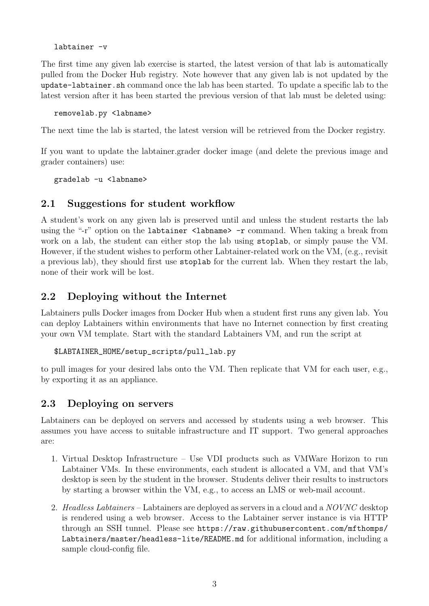labtainer -v

The first time any given lab exercise is started, the latest version of that lab is automatically pulled from the Docker Hub registry. Note however that any given lab is not updated by the update-labtainer.sh command once the lab has been started. To update a specific lab to the latest version after it has been started the previous version of that lab must be deleted using:

removelab.py <labname>

The next time the lab is started, the latest version will be retrieved from the Docker registry.

If you want to update the labtainer.grader docker image (and delete the previous image and grader containers) use:

gradelab -u <labname>

### 2.1 Suggestions for student workflow

A student's work on any given lab is preserved until and unless the student restarts the lab using the "-r" option on the labtainer <labname> -r command. When taking a break from work on a lab, the student can either stop the lab using stoplab, or simply pause the VM. However, if the student wishes to perform other Labtainer-related work on the VM, (e.g., revisit a previous lab), they should first use stoplab for the current lab. When they restart the lab, none of their work will be lost.

### 2.2 Deploying without the Internet

Labtainers pulls Docker images from Docker Hub when a student first runs any given lab. You can deploy Labtainers within environments that have no Internet connection by first creating your own VM template. Start with the standard Labtainers VM, and run the script at

```
$LABTAINER_HOME/setup_scripts/pull_lab.py
```
to pull images for your desired labs onto the VM. Then replicate that VM for each user, e.g., by exporting it as an appliance.

### <span id="page-3-0"></span>2.3 Deploying on servers

Labtainers can be deployed on servers and accessed by students using a web browser. This assumes you have access to suitable infrastructure and IT support. Two general approaches are:

- 1. Virtual Desktop Infrastructure Use VDI products such as VMWare Horizon to run Labtainer VMs. In these environments, each student is allocated a VM, and that VM's desktop is seen by the student in the browser. Students deliver their results to instructors by starting a browser within the VM, e.g., to access an LMS or web-mail account.
- 2. Headless Labtainers Labtainers are deployed as servers in a cloud and a NOVNC desktop is rendered using a web browser. Access to the Labtainer server instance is via HTTP through an SSH tunnel. Please see [https://raw.githubusercontent.com/mfthomps/](https://raw.githubusercontent.com/mfthomps/Labtainers/master/headless-lite/README.md) [Labtainers/master/headless-lite/README.md](https://raw.githubusercontent.com/mfthomps/Labtainers/master/headless-lite/README.md) for additional information, including a sample cloud-config file.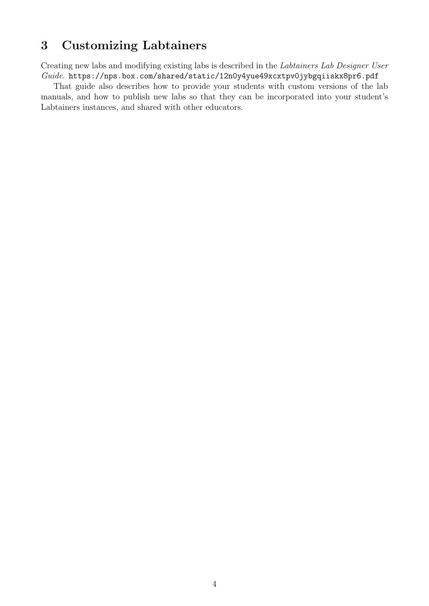## 3 Customizing Labtainers

Creating new labs and modifying existing labs is described in the Labtainers Lab Designer User Guide. <https://nps.box.com/shared/static/12n0y4yue49xcxtpv0jybgqiiskx8pr6.pdf>

That guide also describes how to provide your students with custom versions of the lab manuals, and how to publish new labs so that they can be incorporated into your student's Labtainers instances, and shared with other educators.